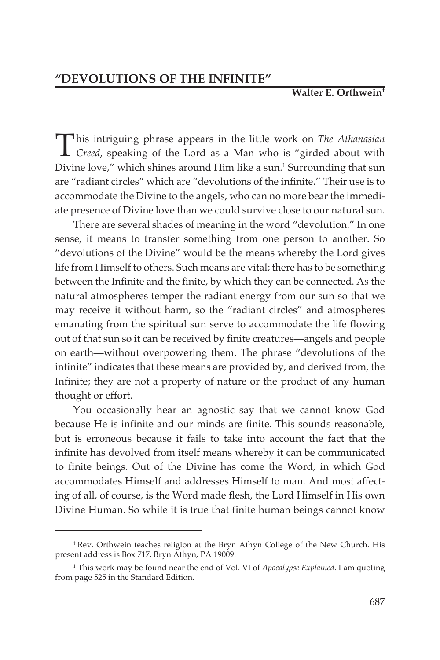## **Walter E. Orthwein†**

This intriguing phrase appears in the little work on *The Athanasian*<br>*Creed*, speaking of the Lord as a Man who is "girded about with Divine love," which shines around Him like a sun.<sup>1</sup> Surrounding that sun are "radiant circles" which are "devolutions of the infinite." Their use is to accommodate the Divine to the angels, who can no more bear the immediate presence of Divine love than we could survive close to our natural sun.

There are several shades of meaning in the word "devolution." In one sense, it means to transfer something from one person to another. So "devolutions of the Divine" would be the means whereby the Lord gives life from Himself to others. Such means are vital; there has to be something between the Infinite and the finite, by which they can be connected. As the natural atmospheres temper the radiant energy from our sun so that we may receive it without harm, so the "radiant circles" and atmospheres emanating from the spiritual sun serve to accommodate the life flowing out of that sun so it can be received by finite creatures—angels and people on earth—without overpowering them. The phrase "devolutions of the infinite" indicates that these means are provided by, and derived from, the Infinite; they are not a property of nature or the product of any human thought or effort.

You occasionally hear an agnostic say that we cannot know God because He is infinite and our minds are finite. This sounds reasonable, but is erroneous because it fails to take into account the fact that the infinite has devolved from itself means whereby it can be communicated to finite beings. Out of the Divine has come the Word, in which God accommodates Himself and addresses Himself to man. And most affecting of all, of course, is the Word made flesh, the Lord Himself in His own Divine Human. So while it is true that finite human beings cannot know

<sup>†</sup> Rev. Orthwein teaches religion at the Bryn Athyn College of the New Church. His present address is Box 717, Bryn Athyn, PA 19009.

<sup>1</sup> This work may be found near the end of Vol. VI of *Apocalypse Explained*. I am quoting from page 525 in the Standard Edition.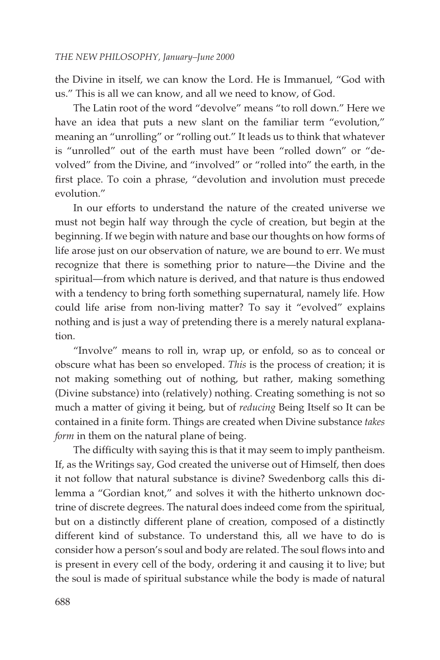the Divine in itself, we can know the Lord. He is Immanuel, "God with us." This is all we can know, and all we need to know, of God.

The Latin root of the word "devolve" means "to roll down." Here we have an idea that puts a new slant on the familiar term "evolution," meaning an "unrolling" or "rolling out." It leads us to think that whatever is "unrolled" out of the earth must have been "rolled down" or "devolved" from the Divine, and "involved" or "rolled into" the earth, in the first place. To coin a phrase, "devolution and involution must precede evolution."

In our efforts to understand the nature of the created universe we must not begin half way through the cycle of creation, but begin at the beginning. If we begin with nature and base our thoughts on how forms of life arose just on our observation of nature, we are bound to err. We must recognize that there is something prior to nature—the Divine and the spiritual—from which nature is derived, and that nature is thus endowed with a tendency to bring forth something supernatural, namely life. How could life arise from non-living matter? To say it "evolved" explains nothing and is just a way of pretending there is a merely natural explanation.

"Involve" means to roll in, wrap up, or enfold, so as to conceal or obscure what has been so enveloped. *This* is the process of creation; it is not making something out of nothing, but rather, making something (Divine substance) into (relatively) nothing. Creating something is not so much a matter of giving it being, but of *reducing* Being Itself so It can be contained in a finite form. Things are created when Divine substance *takes form* in them on the natural plane of being.

The difficulty with saying this is that it may seem to imply pantheism. If, as the Writings say, God created the universe out of Himself, then does it not follow that natural substance is divine? Swedenborg calls this dilemma a "Gordian knot," and solves it with the hitherto unknown doctrine of discrete degrees. The natural does indeed come from the spiritual, but on a distinctly different plane of creation, composed of a distinctly different kind of substance. To understand this, all we have to do is consider how a person's soul and body are related. The soul flows into and is present in every cell of the body, ordering it and causing it to live; but the soul is made of spiritual substance while the body is made of natural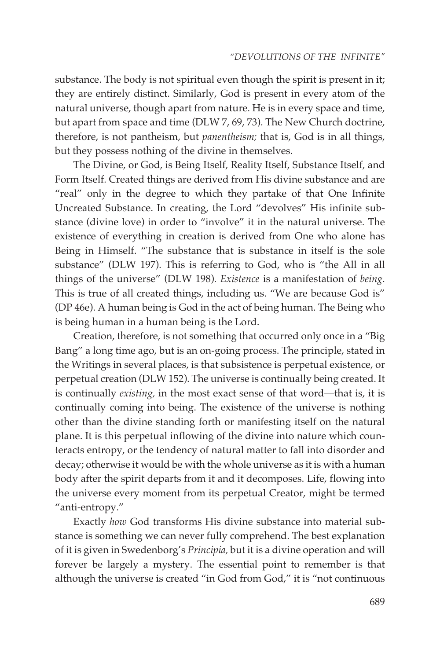substance. The body is not spiritual even though the spirit is present in it; they are entirely distinct. Similarly, God is present in every atom of the natural universe, though apart from nature. He is in every space and time, but apart from space and time (DLW 7, 69, 73). The New Church doctrine, therefore, is not pantheism, but *panentheism;* that is, God is in all things, but they possess nothing of the divine in themselves.

The Divine, or God, is Being Itself, Reality Itself, Substance Itself, and Form Itself. Created things are derived from His divine substance and are "real" only in the degree to which they partake of that One Infinite Uncreated Substance. In creating, the Lord "devolves" His infinite substance (divine love) in order to "involve" it in the natural universe. The existence of everything in creation is derived from One who alone has Being in Himself. "The substance that is substance in itself is the sole substance" (DLW 197). This is referring to God, who is "the All in all things of the universe" (DLW 198). *Existence* is a manifestation of *being*. This is true of all created things, including us. "We are because God is" (DP 46e). A human being is God in the act of being human. The Being who is being human in a human being is the Lord.

Creation, therefore, is not something that occurred only once in a "Big Bang" a long time ago, but is an on-going process. The principle, stated in the Writings in several places, is that subsistence is perpetual existence, or perpetual creation (DLW 152). The universe is continually being created. It is continually *existing,* in the most exact sense of that word—that is, it is continually coming into being. The existence of the universe is nothing other than the divine standing forth or manifesting itself on the natural plane. It is this perpetual inflowing of the divine into nature which counteracts entropy, or the tendency of natural matter to fall into disorder and decay; otherwise it would be with the whole universe as it is with a human body after the spirit departs from it and it decomposes. Life, flowing into the universe every moment from its perpetual Creator, might be termed "anti-entropy."

Exactly *how* God transforms His divine substance into material substance is something we can never fully comprehend. The best explanation of it is given in Swedenborg's *Principia,* but it is a divine operation and will forever be largely a mystery. The essential point to remember is that although the universe is created "in God from God," it is "not continuous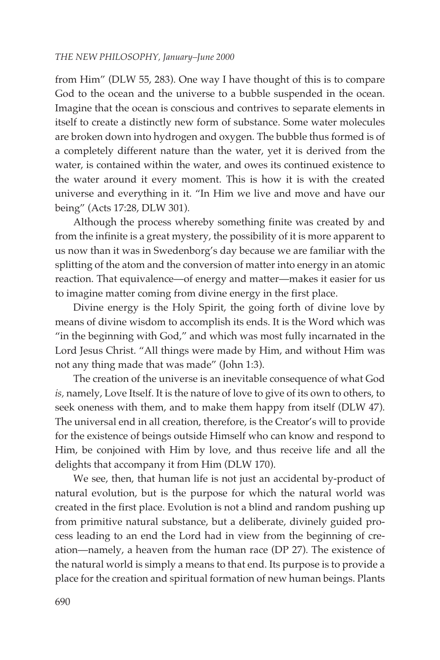## *THE NEW PHILOSOPHY, January–June 2000*

from Him" (DLW 55, 283). One way I have thought of this is to compare God to the ocean and the universe to a bubble suspended in the ocean. Imagine that the ocean is conscious and contrives to separate elements in itself to create a distinctly new form of substance. Some water molecules are broken down into hydrogen and oxygen. The bubble thus formed is of a completely different nature than the water, yet it is derived from the water, is contained within the water, and owes its continued existence to the water around it every moment. This is how it is with the created universe and everything in it. "In Him we live and move and have our being" (Acts 17:28, DLW 301).

Although the process whereby something finite was created by and from the infinite is a great mystery, the possibility of it is more apparent to us now than it was in Swedenborg's day because we are familiar with the splitting of the atom and the conversion of matter into energy in an atomic reaction. That equivalence—of energy and matter—makes it easier for us to imagine matter coming from divine energy in the first place.

Divine energy is the Holy Spirit, the going forth of divine love by means of divine wisdom to accomplish its ends. It is the Word which was "in the beginning with God," and which was most fully incarnated in the Lord Jesus Christ. "All things were made by Him, and without Him was not any thing made that was made" (John 1:3).

The creation of the universe is an inevitable consequence of what God *is,* namely, Love Itself. It is the nature of love to give of its own to others, to seek oneness with them, and to make them happy from itself (DLW 47). The universal end in all creation, therefore, is the Creator's will to provide for the existence of beings outside Himself who can know and respond to Him, be conjoined with Him by love, and thus receive life and all the delights that accompany it from Him (DLW 170).

We see, then, that human life is not just an accidental by-product of natural evolution, but is the purpose for which the natural world was created in the first place. Evolution is not a blind and random pushing up from primitive natural substance, but a deliberate, divinely guided process leading to an end the Lord had in view from the beginning of creation—namely, a heaven from the human race (DP 27). The existence of the natural world is simply a means to that end. Its purpose is to provide a place for the creation and spiritual formation of new human beings. Plants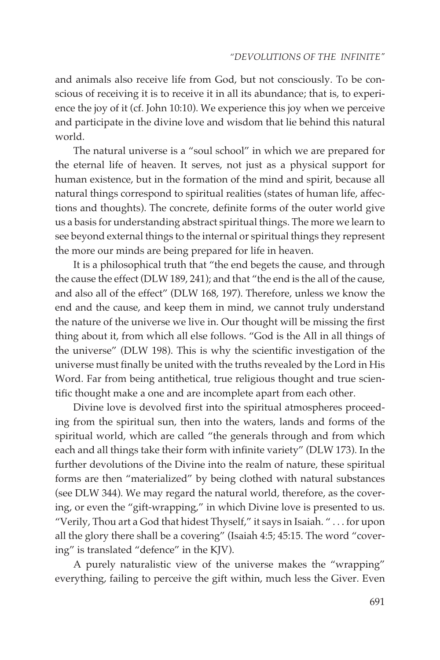and animals also receive life from God, but not consciously. To be conscious of receiving it is to receive it in all its abundance; that is, to experience the joy of it (cf. John 10:10). We experience this joy when we perceive and participate in the divine love and wisdom that lie behind this natural world.

The natural universe is a "soul school" in which we are prepared for the eternal life of heaven. It serves, not just as a physical support for human existence, but in the formation of the mind and spirit, because all natural things correspond to spiritual realities (states of human life, affections and thoughts). The concrete, definite forms of the outer world give us a basis for understanding abstract spiritual things. The more we learn to see beyond external things to the internal or spiritual things they represent the more our minds are being prepared for life in heaven.

It is a philosophical truth that "the end begets the cause, and through the cause the effect (DLW 189, 241); and that "the end is the all of the cause, and also all of the effect" (DLW 168, 197). Therefore, unless we know the end and the cause, and keep them in mind, we cannot truly understand the nature of the universe we live in. Our thought will be missing the first thing about it, from which all else follows. "God is the All in all things of the universe" (DLW 198). This is why the scientific investigation of the universe must finally be united with the truths revealed by the Lord in His Word. Far from being antithetical, true religious thought and true scientific thought make a one and are incomplete apart from each other.

Divine love is devolved first into the spiritual atmospheres proceeding from the spiritual sun, then into the waters, lands and forms of the spiritual world, which are called "the generals through and from which each and all things take their form with infinite variety" (DLW 173). In the further devolutions of the Divine into the realm of nature, these spiritual forms are then "materialized" by being clothed with natural substances (see DLW 344). We may regard the natural world, therefore, as the covering, or even the "gift-wrapping," in which Divine love is presented to us. "Verily, Thou art a God that hidest Thyself," it says in Isaiah. " . . . for upon all the glory there shall be a covering" (Isaiah 4:5; 45:15. The word "covering" is translated "defence" in the KJV).

A purely naturalistic view of the universe makes the "wrapping" everything, failing to perceive the gift within, much less the Giver. Even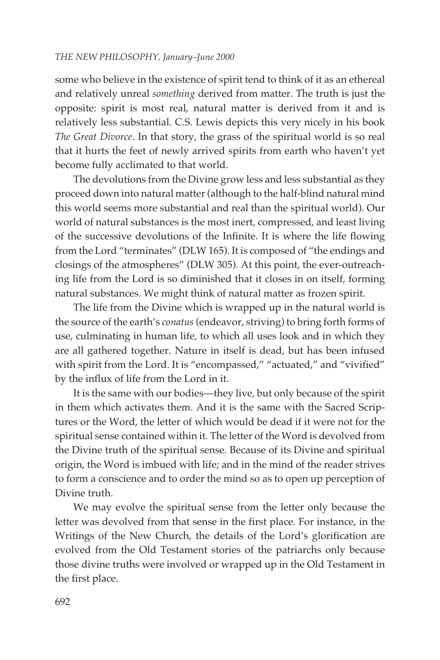## *THE NEW PHILOSOPHY, January–June 2000*

some who believe in the existence of spirit tend to think of it as an ethereal and relatively unreal *something* derived from matter. The truth is just the opposite: spirit is most real, natural matter is derived from it and is relatively less substantial. C.S. Lewis depicts this very nicely in his book *The Great Divorce*. In that story, the grass of the spiritual world is so real that it hurts the feet of newly arrived spirits from earth who haven't yet become fully acclimated to that world.

The devolutions from the Divine grow less and less substantial as they proceed down into natural matter (although to the half-blind natural mind this world seems more substantial and real than the spiritual world). Our world of natural substances is the most inert, compressed, and least living of the successive devolutions of the Infinite. It is where the life flowing from the Lord "terminates" (DLW 165). It is composed of "the endings and closings of the atmospheres" (DLW 305). At this point, the ever-outreaching life from the Lord is so diminished that it closes in on itself, forming natural substances. We might think of natural matter as frozen spirit.

The life from the Divine which is wrapped up in the natural world is the source of the earth's *conatus* (endeavor, striving) to bring forth forms of use, culminating in human life, to which all uses look and in which they are all gathered together. Nature in itself is dead, but has been infused with spirit from the Lord. It is "encompassed," "actuated," and "vivified" by the influx of life from the Lord in it.

It is the same with our bodies—they live, but only because of the spirit in them which activates them. And it is the same with the Sacred Scriptures or the Word, the letter of which would be dead if it were not for the spiritual sense contained within it. The letter of the Word is devolved from the Divine truth of the spiritual sense. Because of its Divine and spiritual origin, the Word is imbued with life; and in the mind of the reader strives to form a conscience and to order the mind so as to open up perception of Divine truth.

We may evolve the spiritual sense from the letter only because the letter was devolved from that sense in the first place. For instance, in the Writings of the New Church, the details of the Lord's glorification are evolved from the Old Testament stories of the patriarchs only because those divine truths were involved or wrapped up in the Old Testament in the first place.